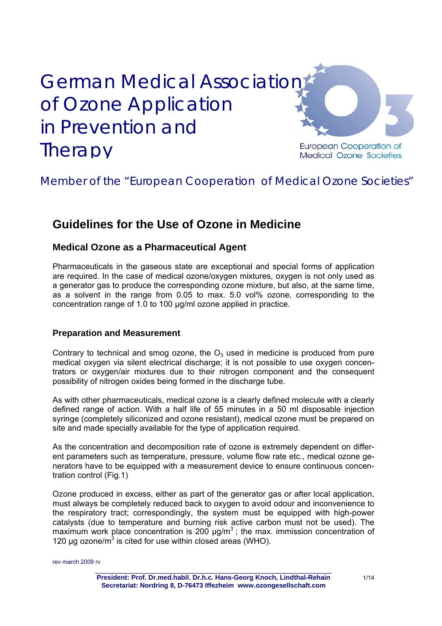# **German Medical Association** of Ozone Application in Prevention and **Therapy**



**European Cooperation of Medical Ozone Societies** 

# Member of the "European Cooperation of Medical Ozone Societies"

# **Guidelines for the Use of Ozone in Medicine**

## **Medical Ozone as a Pharmaceutical Agent**

Pharmaceuticals in the gaseous state are exceptional and special forms of application are required. In the case of medical ozone/oxygen mixtures, oxygen is not only used as a generator gas to produce the corresponding ozone mixture, but also, at the same time, as a solvent in the range from 0.05 to max. 5.0 vol% ozone, corresponding to the concentration range of 1.0 to 100 µg/ml ozone applied in practice.

## **Preparation and Measurement**

Contrary to technical and smog ozone, the  $O_3$  used in medicine is produced from pure medical oxygen via silent electrical discharge; it is not possible to use oxygen concentrators or oxygen/air mixtures due to their nitrogen component and the consequent possibility of nitrogen oxides being formed in the discharge tube.

As with other pharmaceuticals, medical ozone is a clearly defined molecule with a clearly defined range of action. With a half life of 55 minutes in a 50 ml disposable injection syringe (completely siliconized and ozone resistant), medical ozone must be prepared on site and made specially available for the type of application required.

As the concentration and decomposition rate of ozone is extremely dependent on different parameters such as temperature, pressure, volume flow rate etc., medical ozone generators have to be equipped with a measurement device to ensure continuous concentration control (Fig.1)

Ozone produced in excess, either as part of the generator gas or after local application, must always be completely reduced back to oxygen to avoid odour and inconvenience to the respiratory tract; correspondingly, the system must be equipped with high-power catalysts (due to temperature and burning risk active carbon must not be used). The maximum work place concentration is 200  $\mu$ g/m<sup>3</sup>; the max. immission concentration of 120  $\mu$ g ozone/m<sup>3</sup> is cited for use within closed areas (WHO).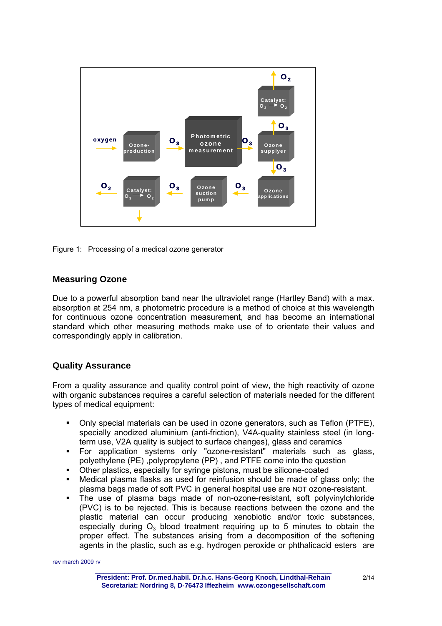



### **Measuring Ozone**

Due to a powerful absorption band near the ultraviolet range (Hartley Band) with a max. absorption at 254 nm, a photometric procedure is a method of choice at this wavelength for continuous ozone concentration measurement, and has become an international standard which other measuring methods make use of to orientate their values and correspondingly apply in calibration.

## **Quality Assurance**

From a quality assurance and quality control point of view, the high reactivity of ozone with organic substances requires a careful selection of materials needed for the different types of medical equipment:

- Only special materials can be used in ozone generators, such as Teflon (PTFE), specially anodized aluminium (anti-friction), V4A-quality stainless steel (in longterm use, V2A quality is subject to surface changes), glass and ceramics
- For application systems only "ozone-resistant" materials such as glass, polyethylene (PE) ,polypropylene (PP) , and PTFE come into the question
- Other plastics, especially for syringe pistons, must be silicone-coated<br>■ Medical plasma flasks as used for reinfusion should be made of gla
- Medical plasma flasks as used for reinfusion should be made of glass only; the plasma bags made of soft PVC in general hospital use are NOT ozone-resistant.
- The use of plasma bags made of non-ozone-resistant, soft polyvinylchloride (PVC) is to be rejected. This is because reactions between the ozone and the plastic material can occur producing xenobiotic and/or toxic substances, especially during  $O_3$  blood treatment requiring up to 5 minutes to obtain the proper effect. The substances arising from a decomposition of the softening agents in the plastic, such as e.g. hydrogen peroxide or phthalicacid esters are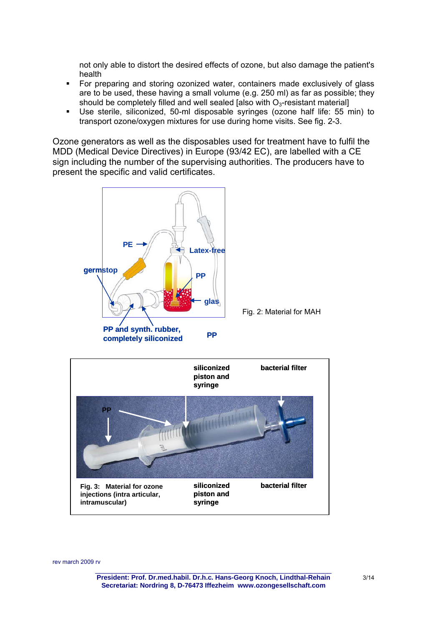not only able to distort the desired effects of ozone, but also damage the patient's health

- For preparing and storing ozonized water, containers made exclusively of glass are to be used, these having a small volume (e.g. 250 ml) as far as possible; they should be completely filled and well sealed [also with  $O<sub>3</sub>$ -resistant material]
- Use sterile, siliconized, 50-ml disposable syringes (ozone half life: 55 min) to transport ozone/oxygen mixtures for use during home visits. See fig. 2-3.

Ozone generators as well as the disposables used for treatment have to fulfil the MDD (Medical Device Directives) in Europe (93/42 EC), are labelled with a CE sign including the number of the supervising authorities. The producers have to present the specific and valid certificates.

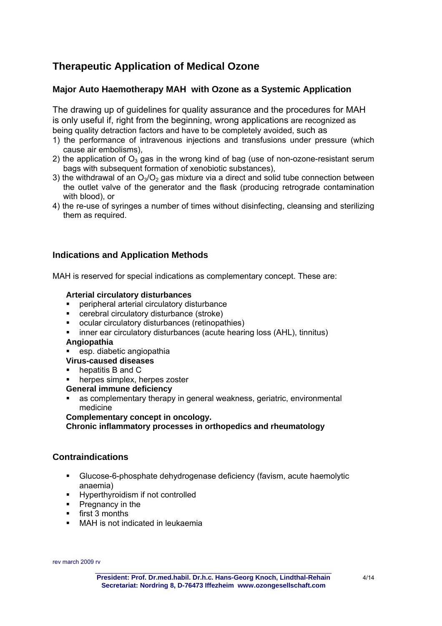## **Therapeutic Application of Medical Ozone**

## **Major Auto Haemotherapy MAH with Ozone as a Systemic Application**

The drawing up of guidelines for quality assurance and the procedures for MAH is only useful if, right from the beginning, wrong applications are recognized as being quality detraction factors and have to be completely avoided, such as

- 1) the performance of intravenous injections and transfusions under pressure (which cause air embolisms),
- 2) the application of  $O_3$  gas in the wrong kind of bag (use of non-ozone-resistant serum bags with subsequent formation of xenobiotic substances),
- 3) the withdrawal of an  $O_3/O_2$  gas mixture via a direct and solid tube connection between the outlet valve of the generator and the flask (producing retrograde contamination with blood), or
- 4) the re-use of syringes a number of times without disinfecting, cleansing and sterilizing them as required.

## **Indications and Application Methods**

MAH is reserved for special indications as complementary concept. These are:

#### **Arterial circulatory disturbances**

- peripheral arterial circulatory disturbance
- cerebral circulatory disturbance (stroke)
- ocular circulatory disturbances (retinopathies)
- inner ear circulatory disturbances (acute hearing loss (AHL), tinnitus)

#### **Angiopathia**

- **EXEC** esp. diabetic angiopathia
- **Virus-caused diseases**
- hepatitis B and C
- herpes simplex, herpes zoster

#### **General immune deficiency**

 as complementary therapy in general weakness, geriatric, environmental medicine

**Complementary concept in oncology.** 

#### **Chronic inflammatory processes in orthopedics and rheumatology**

#### **Contraindications**

- Glucose-6-phosphate dehydrogenase deficiency (favism, acute haemolytic anaemia)
- **Hyperthyroidism if not controlled**
- Pregnancy in the
- **first 3 months**
- MAH is not indicated in leukaemia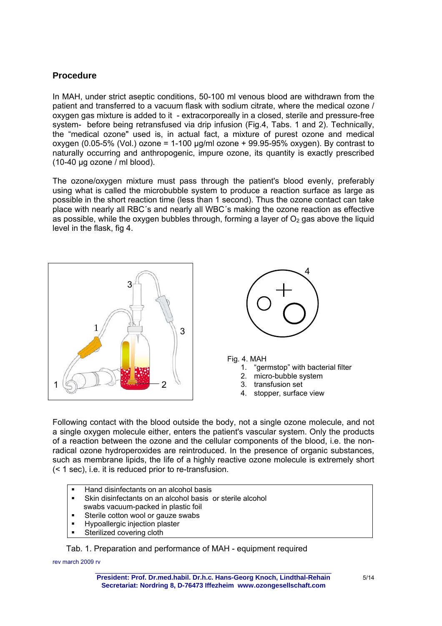## **Procedure**

In MAH, under strict aseptic conditions, 50-100 ml venous blood are withdrawn from the patient and transferred to a vacuum flask with sodium citrate, where the medical ozone / oxygen gas mixture is added to it - extracorporeally in a closed, sterile and pressure-free system- before being retransfused via drip infusion (Fig.4, Tabs. 1 and 2). Technically, the "medical ozone" used is, in actual fact, a mixture of purest ozone and medical oxygen (0.05-5% (Vol.) ozone = 1-100  $\mu q/ml$  ozone + 99.95-95% oxygen). By contrast to naturally occurring and anthropogenic, impure ozone, its quantity is exactly prescribed  $(10-40 \text{ uq ozone / ml blood}).$ 

The ozone/oxygen mixture must pass through the patient's blood evenly, preferably using what is called the microbubble system to produce a reaction surface as large as possible in the short reaction time (less than 1 second). Thus the ozone contact can take place with nearly all RBC´s and nearly all WBC´s making the ozone reaction as effective as possible, while the oxygen bubbles through, forming a layer of  $O<sub>2</sub>$  gas above the liquid level in the flask, fig 4.





Fig. 4. MAH

- 1. "germstop" with bacterial filter
- 2. micro-bubble system
- 3. transfusion set
- 4. stopper, surface view

Following contact with the blood outside the body, not a single ozone molecule, and not a single oxygen molecule either, enters the patient's vascular system. Only the products of a reaction between the ozone and the cellular components of the blood, i.e. the nonradical ozone hydroperoxides are reintroduced. In the presence of organic substances, such as membrane lipids, the life of a highly reactive ozone molecule is extremely short (< 1 sec), i.e. it is reduced prior to re-transfusion.

- Hand disinfectants on an alcohol basis
- Skin disinfectants on an alcohol basis or sterile alcohol
- swabs vacuum-packed in plastic foil
- **Sterile cotton wool or gauze swabs**
- Hypoallergic injection plaster
- Sterilized covering cloth

Tab. 1. Preparation and performance of MAH - equipment required

rev march 2009 rv \_\_\_\_\_\_\_\_\_\_\_\_\_\_\_\_\_\_\_\_\_\_\_\_\_\_\_\_\_\_\_\_\_\_\_\_\_\_\_\_\_\_\_\_\_\_\_\_\_\_\_\_\_\_\_\_\_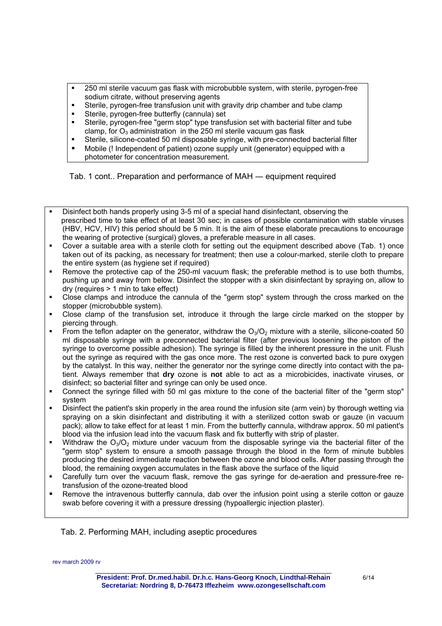- 250 ml sterile vacuum gas flask with microbubble system, with sterile, pyrogen-free sodium citrate, without preserving agents
- Sterile, pyrogen-free transfusion unit with gravity drip chamber and tube clamp
- Sterile, pyrogen-free butterfly (cannula) set
- Sterile, pyrogen-free "germ stop" type transfusion set with bacterial filter and tube clamp, for  $O_3$  administration in the 250 ml sterile vacuum gas flask
- Sterile, silicone-coated 50 ml disposable syringe, with pre-connected bacterial filter
- Mobile (! Independent of patient) ozone supply unit (generator) equipped with a photometer for concentration measurement.

Tab. 1 cont.. Preparation and performance of MAH ― equipment required

- Disinfect both hands properly using 3-5 ml of a special hand disinfectant, observing the prescribed time to take effect of at least 30 sec; in cases of possible contamination with stable viruses (HBV, HCV, HIV) this period should be 5 min. It is the aim of these elaborate precautions to encourage the wearing of protective (surgical) gloves, a preferable measure in all cases.
- Cover a suitable area with a sterile cloth for setting out the equipment described above (Tab. 1) once taken out of its packing, as necessary for treatment; then use a colour-marked, sterile cloth to prepare the entire system (as hygiene set if required)
- Remove the protective cap of the 250-ml vacuum flask; the preferable method is to use both thumbs, pushing up and away from below. Disinfect the stopper with a skin disinfectant by spraying on, allow to dry (requires > 1 min to take effect)
- Close clamps and introduce the cannula of the "germ stop" system through the cross marked on the stopper (microbubble system).
- Close clamp of the transfusion set, introduce it through the large circle marked on the stopper by piercing through.
- From the teflon adapter on the generator, withdraw the  $O_3/O_2$  mixture with a sterile, silicone-coated 50 ml disposable syringe with a preconnected bacterial filter (after previous loosening the piston of the syringe to overcome possible adhesion). The syringe is filled by the inherent pressure in the unit. Flush out the syringe as required with the gas once more. The rest ozone is converted back to pure oxygen by the catalyst. In this way, neither the generator nor the syringe come directly into contact with the patient. Always remember that **dry** ozone is **not** able to act as a microbicides, inactivate viruses, or disinfect; so bacterial filter and syringe can only be used once.
- Connect the syringe filled with 50 ml gas mixture to the cone of the bacterial filter of the "germ stop" system
- Disinfect the patient's skin properly in the area round the infusion site (arm vein) by thorough wetting via spraying on a skin disinfectant and distributing it with a sterilized cotton swab or gauze (in vacuum pack); allow to take effect for at least 1 min. From the butterfly cannula, withdraw approx. 50 ml patient's blood via the infusion lead into the vacuum flask and fix butterfly with strip of plaster.
- Withdraw the  $O_3/O_2$  mixture under vacuum from the disposable syringe via the bacterial filter of the "germ stop" system to ensure a smooth passage through the blood in the form of minute bubbles producing the desired immediate reaction between the ozone and blood cells. After passing through the blood, the remaining oxygen accumulates in the flask above the surface of the liquid
- Carefully turn over the vacuum flask, remove the gas syringe for de-aeration and pressure-free retransfusion of the ozone-treated blood
- Remove the intravenous butterfly cannula, dab over the infusion point using a sterile cotton or gauze swab before covering it with a pressure dressing (hypoallergic injection plaster).

Tab. 2. Performing MAH, including aseptic procedures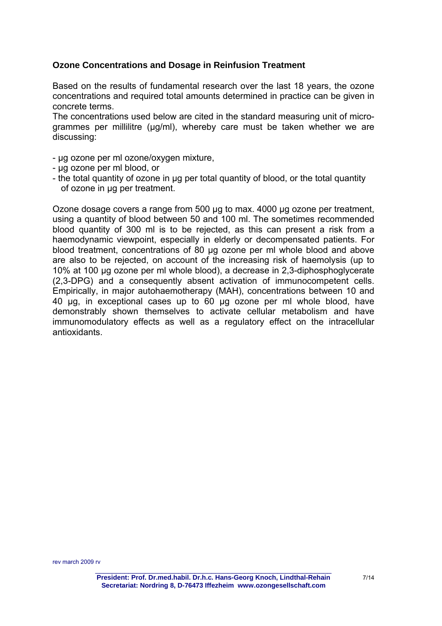## **Ozone Concentrations and Dosage in Reinfusion Treatment**

Based on the results of fundamental research over the last 18 years, the ozone concentrations and required total amounts determined in practice can be given in concrete terms.

The concentrations used below are cited in the standard measuring unit of microgrammes per millilitre (µg/ml), whereby care must be taken whether we are discussing:

- µg ozone per ml ozone/oxygen mixture,
- µg ozone per ml blood, or
- the total quantity of ozone in µg per total quantity of blood, or the total quantity of ozone in µg per treatment.

Ozone dosage covers a range from 500 µg to max. 4000 µg ozone per treatment, using a quantity of blood between 50 and 100 ml. The sometimes recommended blood quantity of 300 ml is to be rejected, as this can present a risk from a haemodynamic viewpoint, especially in elderly or decompensated patients. For blood treatment, concentrations of 80 µg ozone per ml whole blood and above are also to be rejected, on account of the increasing risk of haemolysis (up to 10% at 100 µg ozone per ml whole blood), a decrease in 2,3-diphosphoglycerate (2,3-DPG) and a consequently absent activation of immunocompetent cells. Empirically, in major autohaemotherapy (MAH), concentrations between 10 and 40 µg, in exceptional cases up to 60 µg ozone per ml whole blood, have demonstrably shown themselves to activate cellular metabolism and have immunomodulatory effects as well as a regulatory effect on the intracellular antioxidants.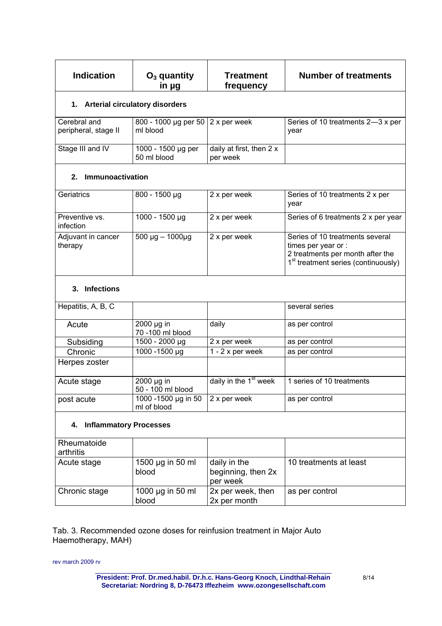| <b>Indication</b>                    | $O3$ quantity<br>in µg                       | <b>Treatment</b><br>frequency                  | <b>Number of treatments</b>                                                                                                                   |
|--------------------------------------|----------------------------------------------|------------------------------------------------|-----------------------------------------------------------------------------------------------------------------------------------------------|
| 1. Arterial circulatory disorders    |                                              |                                                |                                                                                                                                               |
| Cerebral and<br>peripheral, stage II | $\frac{1}{800}$ - 1000 µg per 50<br>ml blood | 2 x per week                                   | Series of 10 treatments 2-3 x per<br>year                                                                                                     |
| Stage III and IV                     | 1000 - 1500 µg per<br>50 ml blood            | daily at first, then 2 x<br>per week           |                                                                                                                                               |
| 2. Immunoactivation                  |                                              |                                                |                                                                                                                                               |
| Geriatrics                           | 800 - 1500 µg                                | 2 x per week                                   | Series of 10 treatments 2 x per<br>year                                                                                                       |
| Preventive vs.<br>infection          | 1000 - 1500 µg                               | 2 x per week                                   | Series of 6 treatments 2 x per year                                                                                                           |
| Adjuvant in cancer<br>therapy        | $500 \mu g - 1000 \mu g$                     | 2 x per week                                   | Series of 10 treatments several<br>times per year or :<br>2 treatments per month after the<br>1 <sup>st</sup> treatment series (continuously) |
| 3. Infections                        |                                              |                                                |                                                                                                                                               |
| Hepatitis, A, B, C                   |                                              |                                                | several series                                                                                                                                |
| Acute                                | 2000 µg in<br>70 -100 ml blood               | daily                                          | as per control                                                                                                                                |
| Subsiding                            | 1500 - 2000 µg                               | 2 x per week                                   | as per control                                                                                                                                |
| Chronic                              | 1000 -1500 µg                                | $\overline{1}$ - 2 x per week                  | as per control                                                                                                                                |
| Herpes zoster                        |                                              |                                                |                                                                                                                                               |
| Acute stage                          | 2000 µg in<br>50 - 100 ml blood              | daily in the 1 <sup>st</sup> week              | 1 series of 10 treatments                                                                                                                     |
| post acute                           | 1000 -1500 µg in 50<br>ml of blood           | 2 x per week                                   | as per control                                                                                                                                |
| <b>Inflammatory Processes</b><br>4.  |                                              |                                                |                                                                                                                                               |
| Rheumatoide<br>arthritis             |                                              |                                                |                                                                                                                                               |
| Acute stage                          | 1500 µg in 50 ml<br>blood                    | daily in the<br>beginning, then 2x<br>per week | 10 treatments at least                                                                                                                        |
| Chronic stage                        | 1000 µg in 50 ml<br>blood                    | 2x per week, then<br>2x per month              | as per control                                                                                                                                |

Tab. 3. Recommended ozone doses for reinfusion treatment in Major Auto Haemotherapy, MAH)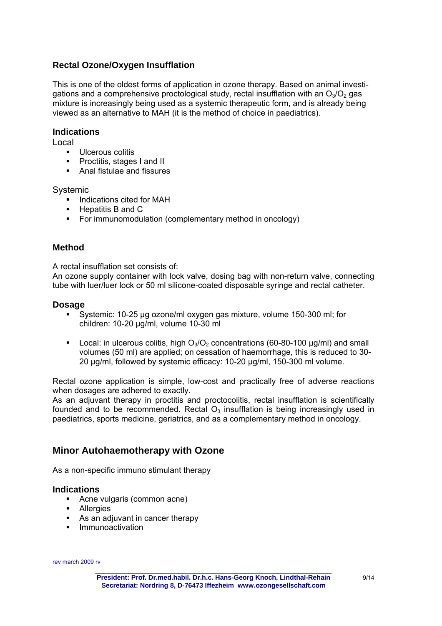## **Rectal Ozone/Oxygen Insufflation**

This is one of the oldest forms of application in ozone therapy. Based on animal investigations and a comprehensive proctological study, rectal insufflation with an  $O_3/O_2$  gas mixture is increasingly being used as a systemic therapeutic form, and is already being viewed as an alternative to MAH (it is the method of choice in paediatrics).

#### **Indications**

Local

- **Ulcerous colitis**
- **Proctitis, stages I and II**
- Anal fistulae and fissures

Systemic

- **Indications cited for MAH**
- $\blacksquare$  Hepatitis B and C
- For immunomodulation (complementary method in oncology)

## **Method**

A rectal insufflation set consists of:

An ozone supply container with lock valve, dosing bag with non-return valve, connecting tube with luer/luer lock or 50 ml silicone-coated disposable syringe and rectal catheter.

### **Dosage**

- Systemic: 10-25 µg ozone/ml oxygen gas mixture, volume 150-300 ml; for children: 10-20 µg/ml, volume 10-30 ml
- Local: in ulcerous colitis, high  $O_3/O_2$  concentrations (60-80-100  $\mu$ g/ml) and small volumes (50 ml) are applied; on cessation of haemorrhage, this is reduced to 30- 20 µg/ml, followed by systemic efficacy: 10-20 µg/ml, 150-300 ml volume.

Rectal ozone application is simple, low-cost and practically free of adverse reactions when dosages are adhered to exactly.

As an adjuvant therapy in proctitis and proctocolitis, rectal insufflation is scientifically founded and to be recommended. Rectal  $O<sub>3</sub>$  insufflation is being increasingly used in paediatrics, sports medicine, geriatrics, and as a complementary method in oncology.

## **Minor Autohaemotherapy with Ozone**

As a non-specific immuno stimulant therapy

#### **Indications**

- Acne vulgaris (common acne)
- **-** Allergies
- As an adiuvant in cancer therapy
- **Immunoactivation**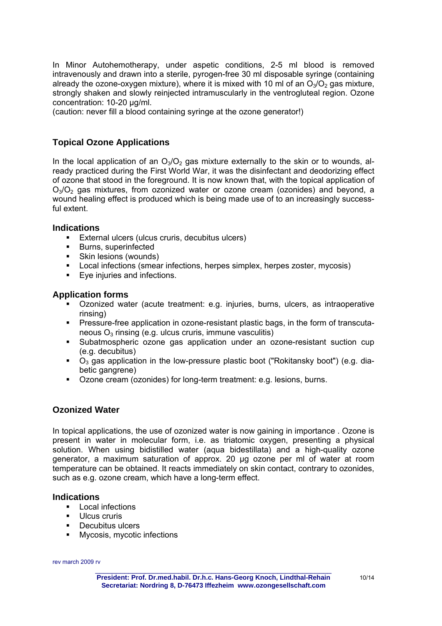In Minor Autohemotherapy, under aspetic conditions, 2-5 ml blood is removed intravenously and drawn into a sterile, pyrogen-free 30 ml disposable syringe (containing already the ozone-oxygen mixture), where it is mixed with 10 ml of an  $O_3/O_2$  gas mixture, strongly shaken and slowly reinjected intramuscularly in the ventrogluteal region. Ozone concentration: 10-20 µg/ml.

(caution: never fill a blood containing syringe at the ozone generator!)

## **Topical Ozone Applications**

In the local application of an  $O_3/O_2$  gas mixture externally to the skin or to wounds, already practiced during the First World War, it was the disinfectant and deodorizing effect of ozone that stood in the foreground. It is now known that, with the topical application of  $O<sub>3</sub>/O<sub>2</sub>$  gas mixtures, from ozonized water or ozone cream (ozonides) and beyond, a wound healing effect is produced which is being made use of to an increasingly successful extent.

#### **Indications**

- **External ulcers (ulcus cruris, decubitus ulcers)**
- **Burns, superinfected**
- Skin lesions (wounds)
- Local infections (smear infections, herpes simplex, herpes zoster, mycosis)
- Eye injuries and infections.

### **Application forms**

- Ozonized water (acute treatment: e.g. injuries, burns, ulcers, as intraoperative rinsing)
- Pressure-free application in ozone-resistant plastic bags, in the form of transcutaneous  $O_3$  rinsing (e.g. ulcus cruris, immune vasculitis)
- Subatmospheric ozone gas application under an ozone-resistant suction cup (e.g. decubitus)
- $\bullet$   $\circ$ <sub>2</sub> gas application in the low-pressure plastic boot ("Rokitansky boot") (e.g. diabetic gangrene)
- Ozone cream (ozonides) for long-term treatment: e.g. lesions, burns.

## **Ozonized Water**

In topical applications, the use of ozonized water is now gaining in importance . Ozone is present in water in molecular form, i.e. as triatomic oxygen, presenting a physical solution. When using bidistilled water (aqua bidestillata) and a high-quality ozone generator, a maximum saturation of approx. 20 µg ozone per ml of water at room temperature can be obtained. It reacts immediately on skin contact, contrary to ozonides, such as e.g. ozone cream, which have a long-term effect.

#### **Indications**

- **Local infections**
- **Ulcus cruris**
- **-** Decubitus ulcers
- **Nycosis, mycotic infections**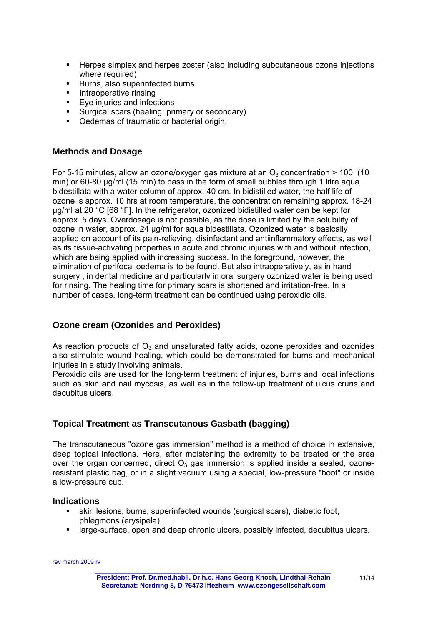- **Herpes simplex and herpes zoster (also including subcutaneous ozone injections** where required)
- Burns, also superinfected burns
- **Intraoperative rinsing**
- **Eye injuries and infections**
- Surgical scars (healing: primary or secondary)
- **•** Oedemas of traumatic or bacterial origin.

#### **Methods and Dosage**

For 5-15 minutes, allow an ozone/oxygen gas mixture at an  $O_3$  concentration > 100 (10 min) or 60-80 µg/ml (15 min) to pass in the form of small bubbles through 1 litre aqua bidestillata with a water column of approx. 40 cm. In bidistilled water, the half life of ozone is approx. 10 hrs at room temperature, the concentration remaining approx. 18-24 µg/ml at 20 °C [68 °F]. In the refrigerator, ozonized bidistilled water can be kept for approx. 5 days. Overdosage is not possible, as the dose is limited by the solubility of ozone in water, approx. 24 µg/ml for aqua bidestillata. Ozonized water is basically applied on account of its pain-relieving, disinfectant and antiinflammatory effects, as well as its tissue-activating properties in acute and chronic injuries with and without infection, which are being applied with increasing success. In the foreground, however, the elimination of perifocal oedema is to be found. But also intraoperatively, as in hand surgery , in dental medicine and particularly in oral surgery ozonized water is being used for rinsing. The healing time for primary scars is shortened and irritation-free. In a number of cases, long-term treatment can be continued using peroxidic oils.

#### **Ozone cream (Ozonides and Peroxides)**

As reaction products of  $O_3$  and unsaturated fatty acids, ozone peroxides and ozonides also stimulate wound healing, which could be demonstrated for burns and mechanical injuries in a study involving animals.

Peroxidic oils are used for the long-term treatment of injuries, burns and local infections such as skin and nail mycosis, as well as in the follow-up treatment of ulcus cruris and decubitus ulcers.

#### **Topical Treatment as Transcutanous Gasbath (bagging)**

The transcutaneous "ozone gas immersion" method is a method of choice in extensive, deep topical infections. Here, after moistening the extremity to be treated or the area over the organ concerned, direct  $O_3$  gas immersion is applied inside a sealed, ozoneresistant plastic bag, or in a slight vacuum using a special, low-pressure "boot" or inside a low-pressure cup.

#### **Indications**

- skin lesions, burns, superinfected wounds (surgical scars), diabetic foot, phlegmons (erysipela)
- **EXEDED FIGHTS 2** Iarge-surface, open and deep chronic ulcers, possibly infected, decubitus ulcers.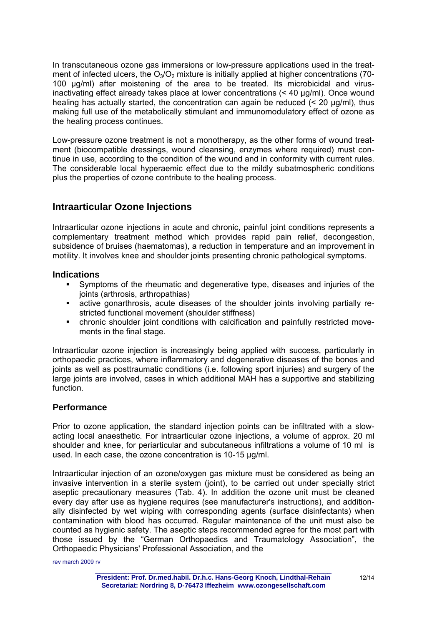In transcutaneous ozone gas immersions or low-pressure applications used in the treatment of infected ulcers, the  $O_3/O_2$  mixture is initially applied at higher concentrations (70-100 µg/ml) after moistening of the area to be treated. Its microbicidal and virusinactivating effect already takes place at lower concentrations (< 40 µg/ml). Once wound healing has actually started, the concentration can again be reduced  $\leq 20 \text{ µq/ml}$ , thus making full use of the metabolically stimulant and immunomodulatory effect of ozone as the healing process continues.

Low-pressure ozone treatment is not a monotherapy, as the other forms of wound treatment (biocompatible dressings, wound cleansing, enzymes where required) must continue in use, according to the condition of the wound and in conformity with current rules. The considerable local hyperaemic effect due to the mildly subatmospheric conditions plus the properties of ozone contribute to the healing process.

## **Intraarticular Ozone Injections**

Intraarticular ozone injections in acute and chronic, painful joint conditions represents a complementary treatment method which provides rapid pain relief, decongestion, subsidence of bruises (haematomas), a reduction in temperature and an improvement in motility. It involves knee and shoulder joints presenting chronic pathological symptoms.

### **Indications**

- Symptoms of the rheumatic and degenerative type, diseases and injuries of the joints (arthrosis, arthropathias)
- active gonarthrosis, acute diseases of the shoulder joints involving partially restricted functional movement (shoulder stiffness)
- chronic shoulder joint conditions with calcification and painfully restricted movements in the final stage.

Intraarticular ozone injection is increasingly being applied with success, particularly in orthopaedic practices, where inflammatory and degenerative diseases of the bones and joints as well as posttraumatic conditions (i.e. following sport injuries) and surgery of the large joints are involved, cases in which additional MAH has a supportive and stabilizing function.

## **Performance**

Prior to ozone application, the standard injection points can be infiltrated with a slowacting local anaesthetic. For intraarticular ozone injections, a volume of approx. 20 ml shoulder and knee, for periarticular and subcutaneous infiltrations a volume of 10 ml is used. In each case, the ozone concentration is 10-15 µg/ml.

Intraarticular injection of an ozone/oxygen gas mixture must be considered as being an invasive intervention in a sterile system (joint), to be carried out under specially strict aseptic precautionary measures (Tab. 4). In addition the ozone unit must be cleaned every day after use as hygiene requires (see manufacturer's instructions), and additionally disinfected by wet wiping with corresponding agents (surface disinfectants) when contamination with blood has occurred. Regular maintenance of the unit must also be counted as hygienic safety. The aseptic steps recommended agree for the most part with those issued by the "German Orthopaedics and Traumatology Association", the Orthopaedic Physicians' Professional Association, and the